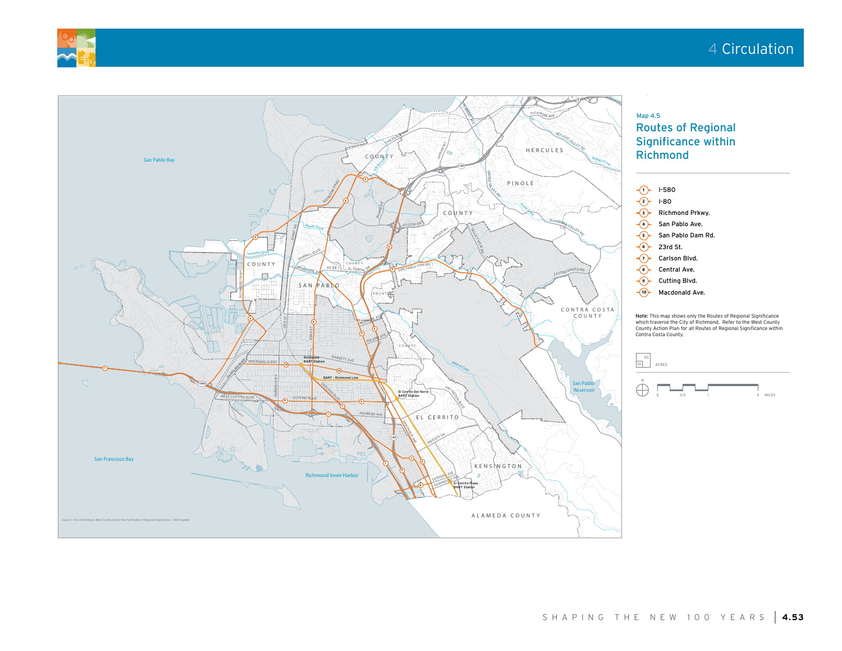